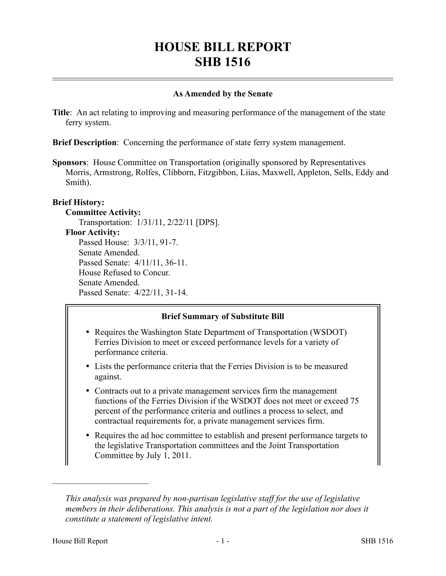# **HOUSE BILL REPORT SHB 1516**

## **As Amended by the Senate**

**Title**: An act relating to improving and measuring performance of the management of the state ferry system.

**Brief Description**: Concerning the performance of state ferry system management.

**Sponsors**: House Committee on Transportation (originally sponsored by Representatives Morris, Armstrong, Rolfes, Clibborn, Fitzgibbon, Liias, Maxwell, Appleton, Sells, Eddy and Smith).

# **Brief History:**

#### **Committee Activity:**

Transportation: 1/31/11, 2/22/11 [DPS].

#### **Floor Activity:**

Passed House: 3/3/11, 91-7. Senate Amended. Passed Senate: 4/11/11, 36-11. House Refused to Concur. Senate Amended. Passed Senate: 4/22/11, 31-14.

# **Brief Summary of Substitute Bill**

- Requires the Washington State Department of Transportation (WSDOT) Ferries Division to meet or exceed performance levels for a variety of performance criteria.
- Lists the performance criteria that the Ferries Division is to be measured against.
- Contracts out to a private management services firm the management functions of the Ferries Division if the WSDOT does not meet or exceed 75 percent of the performance criteria and outlines a process to select, and contractual requirements for, a private management services firm.
- Requires the ad hoc committee to establish and present performance targets to the legislative Transportation committees and the Joint Transportation Committee by July 1, 2011.

––––––––––––––––––––––

*This analysis was prepared by non-partisan legislative staff for the use of legislative members in their deliberations. This analysis is not a part of the legislation nor does it constitute a statement of legislative intent.*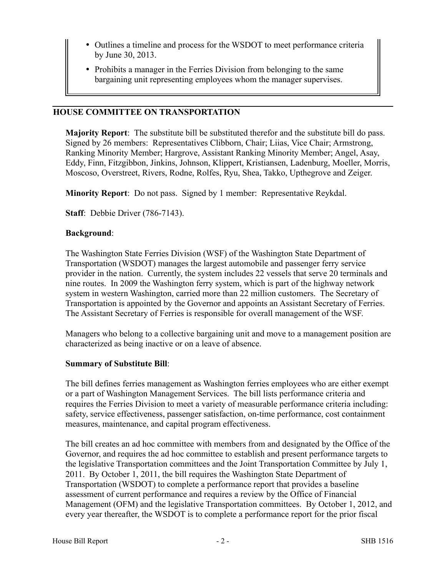- Outlines a timeline and process for the WSDOT to meet performance criteria by June 30, 2013.
- Prohibits a manager in the Ferries Division from belonging to the same bargaining unit representing employees whom the manager supervises.

## **HOUSE COMMITTEE ON TRANSPORTATION**

**Majority Report**: The substitute bill be substituted therefor and the substitute bill do pass. Signed by 26 members: Representatives Clibborn, Chair; Liias, Vice Chair; Armstrong, Ranking Minority Member; Hargrove, Assistant Ranking Minority Member; Angel, Asay, Eddy, Finn, Fitzgibbon, Jinkins, Johnson, Klippert, Kristiansen, Ladenburg, Moeller, Morris, Moscoso, Overstreet, Rivers, Rodne, Rolfes, Ryu, Shea, Takko, Upthegrove and Zeiger.

**Minority Report**: Do not pass. Signed by 1 member: Representative Reykdal.

**Staff**: Debbie Driver (786-7143).

#### **Background**:

The Washington State Ferries Division (WSF) of the Washington State Department of Transportation (WSDOT) manages the largest automobile and passenger ferry service provider in the nation. Currently, the system includes 22 vessels that serve 20 terminals and nine routes. In 2009 the Washington ferry system, which is part of the highway network system in western Washington, carried more than 22 million customers. The Secretary of Transportation is appointed by the Governor and appoints an Assistant Secretary of Ferries. The Assistant Secretary of Ferries is responsible for overall management of the WSF.

Managers who belong to a collective bargaining unit and move to a management position are characterized as being inactive or on a leave of absence.

#### **Summary of Substitute Bill**:

The bill defines ferries management as Washington ferries employees who are either exempt or a part of Washington Management Services. The bill lists performance criteria and requires the Ferries Division to meet a variety of measurable performance criteria including: safety, service effectiveness, passenger satisfaction, on-time performance, cost containment measures, maintenance, and capital program effectiveness.

The bill creates an ad hoc committee with members from and designated by the Office of the Governor, and requires the ad hoc committee to establish and present performance targets to the legislative Transportation committees and the Joint Transportation Committee by July 1, 2011. By October 1, 2011, the bill requires the Washington State Department of Transportation (WSDOT) to complete a performance report that provides a baseline assessment of current performance and requires a review by the Office of Financial Management (OFM) and the legislative Transportation committees. By October 1, 2012, and every year thereafter, the WSDOT is to complete a performance report for the prior fiscal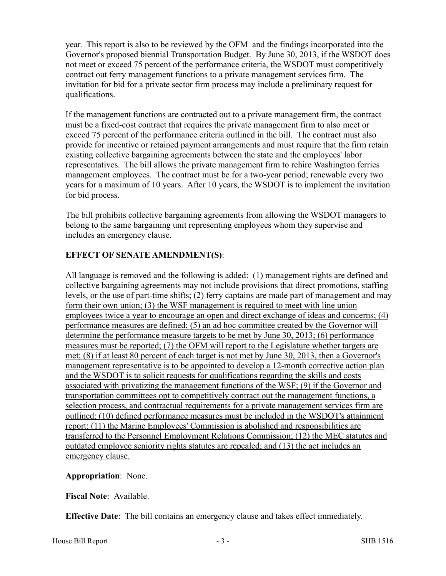year. This report is also to be reviewed by the OFM and the findings incorporated into the Governor's proposed biennial Transportation Budget. By June 30, 2013, if the WSDOT does not meet or exceed 75 percent of the performance criteria, the WSDOT must competitively contract out ferry management functions to a private management services firm. The invitation for bid for a private sector firm process may include a preliminary request for qualifications.

If the management functions are contracted out to a private management firm, the contract must be a fixed-cost contract that requires the private management firm to also meet or exceed 75 percent of the performance criteria outlined in the bill. The contract must also provide for incentive or retained payment arrangements and must require that the firm retain existing collective bargaining agreements between the state and the employees' labor representatives. The bill allows the private management firm to rehire Washington ferries management employees. The contract must be for a two-year period; renewable every two years for a maximum of 10 years. After 10 years, the WSDOT is to implement the invitation for bid process.

The bill prohibits collective bargaining agreements from allowing the WSDOT managers to belong to the same bargaining unit representing employees whom they supervise and includes an emergency clause.

# **EFFECT OF SENATE AMENDMENT(S)**:

All language is removed and the following is added: (1) management rights are defined and collective bargaining agreements may not include provisions that direct promotions, staffing levels, or the use of part-time shifts; (2) ferry captains are made part of management and may form their own union; (3) the WSF management is required to meet with line union employees twice a year to encourage an open and direct exchange of ideas and concerns; (4) performance measures are defined; (5) an ad hoc committee created by the Governor will determine the performance measure targets to be met by June 30, 2013; (6) performance measures must be reported; (7) the OFM will report to the Legislature whether targets are met; (8) if at least 80 percent of each target is not met by June 30, 2013, then a Governor's management representative is to be appointed to develop a 12-month corrective action plan and the WSDOT is to solicit requests for qualifications regarding the skills and costs associated with privatizing the management functions of the WSF; (9) if the Governor and transportation committees opt to competitively contract out the management functions, a selection process, and contractual requirements for a private management services firm are outlined; (10) defined performance measures must be included in the WSDOT's attainment report; (11) the Marine Employees' Commission is abolished and responsibilities are transferred to the Personnel Employment Relations Commission; (12) the MEC statutes and outdated employee seniority rights statutes are repealed; and (13) the act includes an emergency clause.

# **Appropriation**: None.

**Fiscal Note**: Available.

**Effective Date**: The bill contains an emergency clause and takes effect immediately.